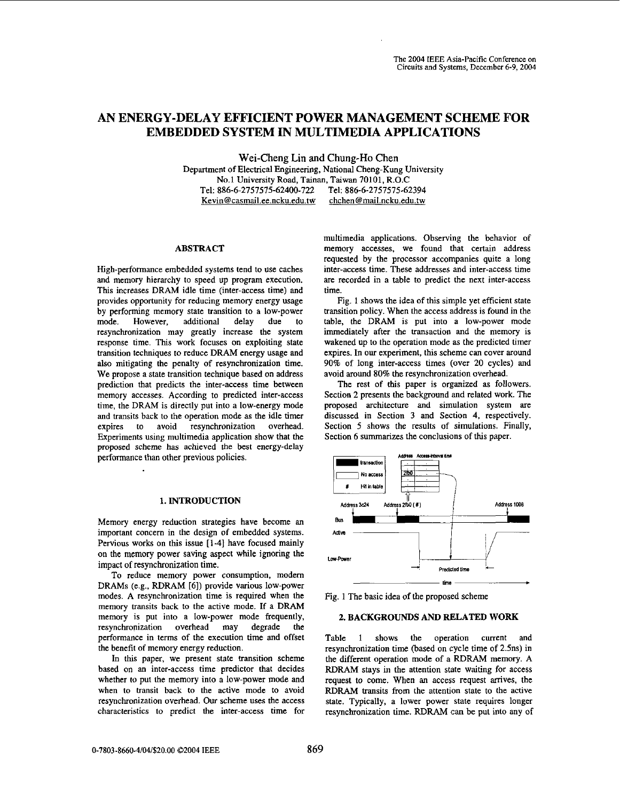# **AN ENERGY-DELAY EFFICIENT POWER MANAGEMENT SCHEME FOR EMBEDDED SYSTEM IN MULTIMEDIA APPLICATIONS**

**Wei-Cheng Lin** and **Chung-Ho Chen**  Department of Electrical Engineering, National Cheng-Kung University No.1 University Road, Tainan, Taiwan **70101,** R.0.C Tel: **886-6-2757575-62400-722** Tel: **886-6-2757575-62394**  Kevin@casmail.ee.ncku.edu.tw

#### **ABSTRACT**

High-performance embedded systems tend to use caches and memory hierarchy to speed up program execution. This increases DRAM idle time (inter-access time) and provides opportunity for reducing memory energy usage by performing memory state transition to a low-power<br>mode. However, additional delay due to additional delay due to resynchronization may greatly increase the system response time. This work focuses on exploiting state transition techniques to reduce DRAM energy usage and also mitigating the penalty of resynchronization time. We propose a state transition technique based on address prediction that predicts the inter-access time between memory accesses. According to predicted inter-access time, the DRAM is directly put into a low-energy mode and transits back to the operation mode **as** the idle timer expires to avoid resynchronization overhead. Experiments using multimedia application show that the proposed scheme has achieved the best energy-delay performance than other previous policies.

# **1. INTRODUCTION**

Memory energy reduction strategies have become an important concern in the design of embedded systems. Pervious works on this issue **[1-4]** have focused mainly on the memory power saving aspect while ignoring the impact of resynchronization time.

To reduce memory power consumption, modem DRAMS (e.g., RDRAM **161)** provide various low-power modes. **A** resynchronization time is required when the memory transits back to the active mode. If a DRAM memory is put into a low-power mode frequently, resynchronization overhead may degrade the performance in terms of the execution time and offset the benefit of memory energy reduction.

In *this* paper, we present state transition scheme based on an inter-access time predictor that decides whether to put the memory into a low-power mode and when to transit back to the active mode to avoid resynchronization overhead. Our scheme uses the access characteristics to predict the inter-access time for multimedia applications. Observing the behavior of memory accesses, we found that certain address requested by the processor accompanies quite a long inter-access time. These addresses and inter-access time are recorded in a table to predict the next inter-access time.

Fig. 1 shows the idea of this simple yet efficient state transition policy. When the access address is found in the table, the DRAM is put into a low-power mode immediately after the transaction and the memory is wakened up to the operation mode as the predicted timer expires. In our experiment, this scheme can cover around **90%** of long inter-access times (over **20** cycles) and avoid around **80%** the resynchronization overhead.

The **rest** of this paper is organized **as** followers. Section **2** presents the background and related work. The proposed architecture and simulation system are discussed in Section **3** and Section **4,** respectively. Section *5* shows the results of simulations. Finally, Section **6** summarizes the conclusions of this paper.



Fig. **1** The basic idea of the proposed scheme

# **2. BACKGROUNDS AND RELATED WORK**

[Table 1](#page-1-0) shows the operation current and resynchronization time (based on cycle time of 2.5ns) in the different operation mode of a RDRAM memory. A RDRAM stays in the attention state waiting for access request to come. When an access request arrives, the RDRAM transits from the attention state to the active state. Typically, a lower power state requires longer resynchronization time. RDRAM can be put into any of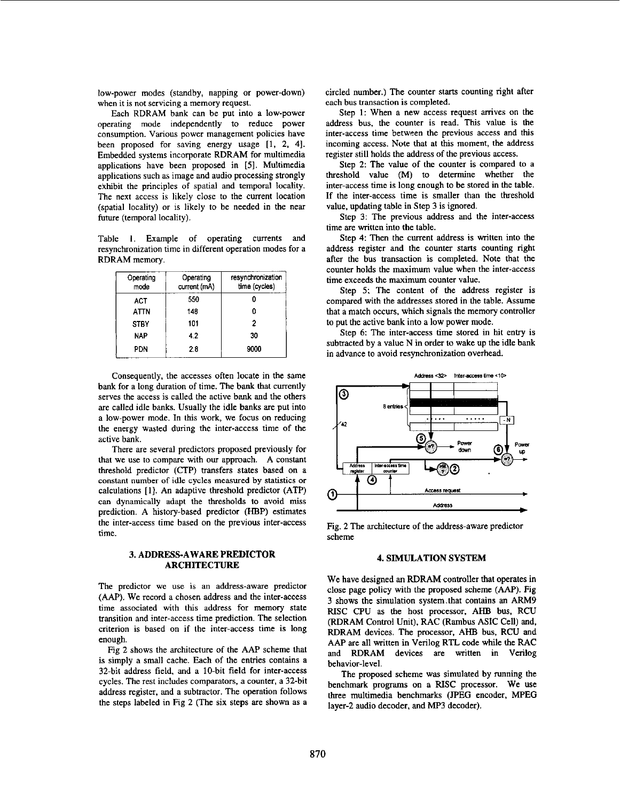<span id="page-1-0"></span>low-power modes (standby, napping or power-down) when it is not servicing a memory request.

Each RDRAM bank can **he** put into a low-power operating mode independently to reduce power consumption. Various power management policies have been proposed for saving energy usage **[I, 2, 41.**  Embedded systems incorporate RDRAM for multimedia applications have been proposed in *[5].* Multimedia applications such as image and audio processing strongly exhibit the principles of spatial and temporal locality. The next access is likely close to the current location (spatial locality) or **is** likely to be needed in the near future (temporal locality).

Table **1.** Example of operating currents and resynchronization time in different operation modes for a RDRAM memory.

| Operating<br>mode | Operating<br>current (mA) | resynchronization<br>time (cycles) |
|-------------------|---------------------------|------------------------------------|
| ACT               | 550                       |                                    |
| ATTN              | 148                       |                                    |
| <b>STBY</b>       | 101                       | 2                                  |
| <b>NAP</b>        | 4.2                       | 30                                 |
| PDN               | 2.8                       | 9000                               |

Consequently, the accesses often locate in the same bank **for** a long duration of time. The bank that currently serves the access is called the active bank and the others are called idle banks. Usually the idle banks are put into a low-power mode. In this work, we focus on reducing the energy wasted during the inter-access time of the active bank.

There are several predictors proposed previously for that we use to compare with our approach. A constant threshold predictor (CTP) transfers states based on a constant number of idle cycles measured **by** statistics **or**  calculations **[I].** An adaptive threshold predictor (ATP) can dynamically adapt the thresholds to avoid miss prediction. A history-based predictor (HBP) estimates the inter-access time based on the previous inter-access time.

# **3. ADDRESS-AWARE PREDICTOR ARCHITECTURE**

The predictor we use is an address-aware predictor *(AAP).* We record a chosen address and the inter-access time associated with this address for memory state transition and inter-access time prediction. The selection criterion is based on if the inter-access time is long enough.

Fig **2** shows the architecture of the AM scheme that is simply a small cache. Each of the entries contains a 32-bit address field, and a IO-bit field for inter-access cycles. The rest includes comparators, a counter, a 32-bit address register, and a subtractor. The operation follows the steps labeled in Fig **2** (The six steps are shown as a circled number.) The counter starts counting right after each **bus** transaction is completed.

Step **1:** When a new access request arrives on the address bus, the counter is read. This value is the inter-access time between the previous access and this incoming access. Note that at this moment, the address register still holds **the** address of the previous access.

Step **2:** The value of the counter is compared to a threshold value (M) to determine whether the inter-access time is long enough to be stored in the table. If the inter-access time is smaller than the threshold value, updating table in Step 3 is ignored.

Step 3: The previous address and the inter-access time are written into the table.

Step **4:** Then the current address is written into the address register and the counter starts counting right after the bus transaction is completed. Note that the counter holds the maximum value when the inter-access time exceeds the maximum counter value.

Step 5: The content of the address register is compared with the addresses stored in the table. Assume that a match occurs, which signals the memory controller to put the active bank into a low power mode.

Step 6: The inter-access time stored in hit entry is subtracted by a value N in order to wake up the idle bank in advance to avoid resynchronization overhead.



Fig. **2** The architecture of the address-aware predictor scheme

#### **4. SIMULATION SYSTEM**

We have designed **an** RDRAM controller that operates in close page policy with the proposed scheme *(AAP).* [Fig](#page-2-0) **[3](#page-2-0)** shows the simulation system.that contains an **ARM9**  RISC CPU as the host processor, **AHB** bus, RCU (RDRAM Control Unit), RAC (Ramhus ASIC Cell) and, RDRAM devices. The processor, AHB bus, RCU and AAP are all written in Verilog RTL code while the RAC and RDRAM devices are written in Verilog behavior-level.

The proposed scheme was simulated by running the benchmark programs on a RISC processor. We use three multimedia benchmarks (JPEG encoder, MPEG layer-2 audio decoder, and MP3 decoder).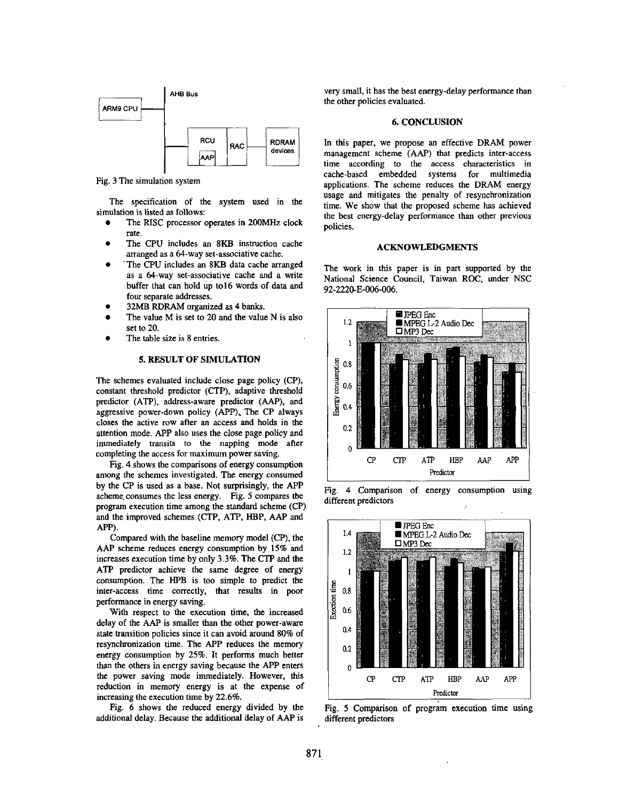<span id="page-2-0"></span>

Fig. 3 The simulation system

The specification of the system used in the simulation is listed **as** follows:

- The RlSC processor operates in **200MHz** clock rate.
- *0* The CPU includes an **8KB** instruction cache arranged as a 64-way set-associative cache.
- *0* 'The CPU includes an **8KB** data cache arranged as a 64-way set-associative cache and a write buffer that can hold up to16 words of data and **four** separate addresses.
- **32MB RDRAM** organized **as 4** hanks. *0*
- The value **M** is set to **20** and the value N is also set to 20.
- The table size is 8 entries. *0*

# **5. RESULT OF SIMULATION**

The schemes evaluated include close page policy (CP), constant threshold predictor (CTP). adaptive threshold predictor **(ATP),** address-aware predictor *(AAP),* and aggressive power-down policy (APP). The CP always closes the active row after an access and holds in the attention mode. APP also uses the close page policy and immediately transits to the napping mode after completing the access for maximum power saving.

Fig. **4** shows the comparisons of energy consumption among the schemes investigated. The energy consumed by the CP is used as a base. Not surprisingly, the APP scheme. consumes the less energy. Fig. 5 compares the program execution time among the standard scheme (CP) and the improved schemes (CTP, **ATP,** HBP. AAP and APP).

Compared with the baseline memory model (CP), the *AAP* scheme reduces energy consumption by 15% and increases execution time by only **3.3%.** The CTP and the **ATP** predictor achieve the same degree of energy consumption. The **HPB** is too simple to predict the inter-access time correctly, that results in poor performance in energy saving.

With respect to the execution time, the increased delay of the *AAP* is smaller than the other power-aware state transition policies since it can avoid around 80% of resynchronization time. The **APP** reduces the memory energy consumption by 25%. It performs much better than the others in energy saving because the APP enters the power saving mode immediately. However, this reduction in memory energy is at the expense of increasing the execution time by **22.6%.** 

Fig. 6 shows the reduced energy divided by the additional delay. Because the additional delay of *AAP* is

very small, it has the best energy-delay performance than the other policies evaluated.

#### **6. CONCLUSION**

In this paper, we propose an effective DRAM power management scheme **(AAP)** that predicts inter-access time according to the access characteristics in cache-based embedded systems for multimedia applications. The scheme reduces the **DRAM** energy usage and mitigates the penalty of resynchronization time. We show that the proposed scheme has achieved the best energy-delay performance than other previous policies.

## **ACKNOWLEDGMENTS**

The work in this paper is in part supported by the National Science Council, Taiwan **ROC,** under NSC **92-2220-E-006-006.** 



Fig. **4** Comparison of energy consumption using different predictors



Fig. *5* Comparison of program execution time using different predictors